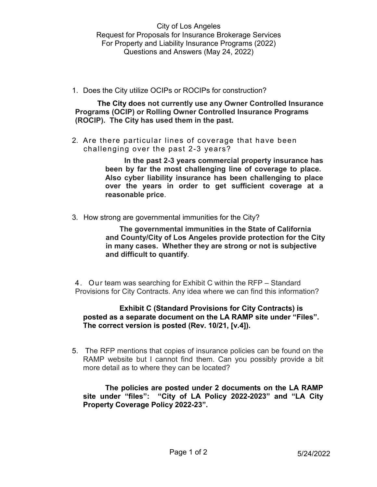1. Does the City utilize OCIPs or ROCIPs for construction?

**The City does not currently use any Owner Controlled Insurance Programs (OCIP) or Rolling Owner Controlled Insurance Programs (ROCIP). The City has used them in the past.**

2. Are there particular lines of coverage that have been challenging over the past 2-3 years?

> **In the past 2-3 years commercial property insurance has been by far the most challenging line of coverage to place. Also cyber liability insurance has been challenging to place over the years in order to get sufficient coverage at a reasonable price**.

3*.* How strong are governmental immunities for the City?

**The governmental immunities in the State of California and County/City of Los Angeles provide protection for the City in many cases. Whether they are strong or not is subjective and difficult to quantify***.*

4. Our team was searching for Exhibit C within the RFP – Standard Provisions for City Contracts. Any idea where we can find this information?

## **Exhibit C (Standard Provisions for City Contracts) is posted as a separate document on the LA RAMP site under "Files". The correct version is posted (Rev. 10/21, [v.4]).**

5. The RFP mentions that copies of insurance policies can be found on the RAMP website but I cannot find them. Can you possibly provide a bit more detail as to where they can be located?

**The policies are posted under 2 documents on the LA RAMP site under "files": "City of LA Policy 2022-2023" and "LA City Property Coverage Policy 2022-23".**